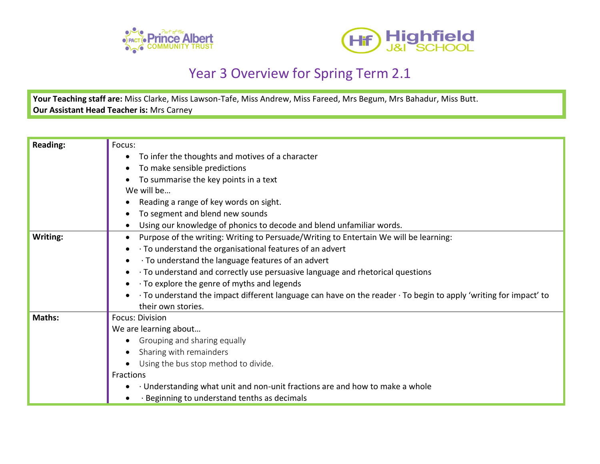



## Year 3 Overview for Spring Term 2.1

**Your Teaching staff are:** Miss Clarke, Miss Lawson-Tafe, Miss Andrew, Miss Fareed, Mrs Begum, Mrs Bahadur, Miss Butt. **Our Assistant Head Teacher is:** Mrs Carney

| <b>Reading:</b> | Focus:                                                                                                           |
|-----------------|------------------------------------------------------------------------------------------------------------------|
|                 | To infer the thoughts and motives of a character                                                                 |
|                 | To make sensible predictions                                                                                     |
|                 | To summarise the key points in a text                                                                            |
|                 | We will be                                                                                                       |
|                 | Reading a range of key words on sight.                                                                           |
|                 | To segment and blend new sounds                                                                                  |
|                 | Using our knowledge of phonics to decode and blend unfamiliar words.                                             |
| Writing:        | Purpose of the writing: Writing to Persuade/Writing to Entertain We will be learning:                            |
|                 | · To understand the organisational features of an advert                                                         |
|                 | · To understand the language features of an advert                                                               |
|                 | · To understand and correctly use persuasive language and rhetorical questions                                   |
|                 | · To explore the genre of myths and legends                                                                      |
|                 | · To understand the impact different language can have on the reader · To begin to apply 'writing for impact' to |
|                 | their own stories.                                                                                               |
| Maths:          | Focus: Division                                                                                                  |
|                 | We are learning about                                                                                            |
|                 | Grouping and sharing equally                                                                                     |
|                 | Sharing with remainders                                                                                          |
|                 | Using the bus stop method to divide.                                                                             |
|                 | Fractions                                                                                                        |
|                 | · Understanding what unit and non-unit fractions are and how to make a whole                                     |
|                 | · Beginning to understand tenths as decimals                                                                     |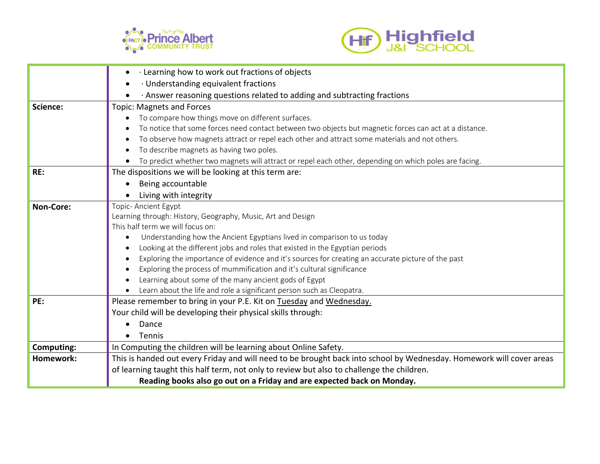



|            | · Learning how to work out fractions of objects                                                                      |
|------------|----------------------------------------------------------------------------------------------------------------------|
|            | · Understanding equivalent fractions                                                                                 |
|            | . Answer reasoning questions related to adding and subtracting fractions                                             |
| Science:   | <b>Topic: Magnets and Forces</b>                                                                                     |
|            | To compare how things move on different surfaces.                                                                    |
|            | To notice that some forces need contact between two objects but magnetic forces can act at a distance.               |
|            | To observe how magnets attract or repel each other and attract some materials and not others.                        |
|            | To describe magnets as having two poles.                                                                             |
|            | To predict whether two magnets will attract or repel each other, depending on which poles are facing.                |
| RE:        | The dispositions we will be looking at this term are:                                                                |
|            | Being accountable<br>$\bullet$                                                                                       |
|            | Living with integrity                                                                                                |
| Non-Core:  | Topic- Ancient Egypt                                                                                                 |
|            | Learning through: History, Geography, Music, Art and Design                                                          |
|            | This half term we will focus on:                                                                                     |
|            | Understanding how the Ancient Egyptians lived in comparison to us today                                              |
|            | Looking at the different jobs and roles that existed in the Egyptian periods                                         |
|            | Exploring the importance of evidence and it's sources for creating an accurate picture of the past                   |
|            | Exploring the process of mummification and it's cultural significance                                                |
|            | Learning about some of the many ancient gods of Egypt                                                                |
|            | Learn about the life and role a significant person such as Cleopatra.                                                |
| PE:        | Please remember to bring in your P.E. Kit on Tuesday and Wednesday.                                                  |
|            | Your child will be developing their physical skills through:                                                         |
|            | Dance                                                                                                                |
|            | Tennis                                                                                                               |
| Computing: | In Computing the children will be learning about Online Safety.                                                      |
| Homework:  | This is handed out every Friday and will need to be brought back into school by Wednesday. Homework will cover areas |
|            | of learning taught this half term, not only to review but also to challenge the children.                            |
|            | Reading books also go out on a Friday and are expected back on Monday.                                               |